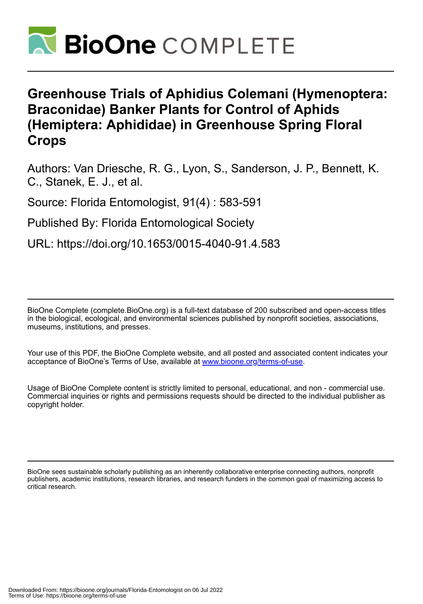

# **Greenhouse Trials of Aphidius Colemani (Hymenoptera: Braconidae) Banker Plants for Control of Aphids (Hemiptera: Aphididae) in Greenhouse Spring Floral Crops**

Authors: Van Driesche, R. G., Lyon, S., Sanderson, J. P., Bennett, K. C., Stanek, E. J., et al.

Source: Florida Entomologist, 91(4) : 583-591

Published By: Florida Entomological Society

URL: https://doi.org/10.1653/0015-4040-91.4.583

BioOne Complete (complete.BioOne.org) is a full-text database of 200 subscribed and open-access titles in the biological, ecological, and environmental sciences published by nonprofit societies, associations, museums, institutions, and presses.

Your use of this PDF, the BioOne Complete website, and all posted and associated content indicates your acceptance of BioOne's Terms of Use, available at www.bioone.org/terms-of-use.

Usage of BioOne Complete content is strictly limited to personal, educational, and non - commercial use. Commercial inquiries or rights and permissions requests should be directed to the individual publisher as copyright holder.

BioOne sees sustainable scholarly publishing as an inherently collaborative enterprise connecting authors, nonprofit publishers, academic institutions, research libraries, and research funders in the common goal of maximizing access to critical research.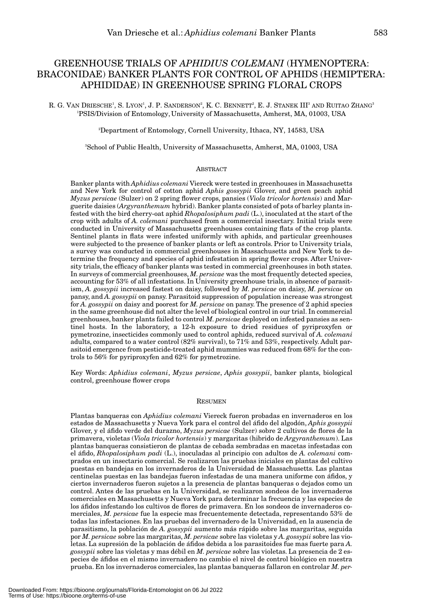# GREENHOUSE TRIALS OF *APHIDIUS COLEMANI* (HYMENOPTERA: BRACONIDAE) BANKER PLANTS FOR CONTROL OF APHIDS (HEMIPTERA: APHIDIDAE) IN GREENHOUSE SPRING FLORAL CROPS

R. G. VAN DRIESCHE', S. LYON', J. P. SANDERSON?, K. C. BENNETT?, E. J. STANEK IIIª AND RUITAO ZHANGª 1 PSIS/Division of Entomology, University of Massachusetts, Amherst, MA, 01003, USA

2 Department of Entomology, Cornell University, Ithaca, NY, 14583, USA

3 School of Public Health, University of Massachusetts, Amherst, MA, 01003, USA

#### **ABSTRACT**

Banker plants with *Aphidius colemani* Viereck were tested in greenhouses in Massachusetts and New York for control of cotton aphid *Aphis gossypii* Glover, and green peach aphid *Myzus persicae* (Sulzer) on 2 spring flower crops, pansies (*Viola tricolor hortensis*) and Marguerite daisies (*Argyranthemum* hybrid). Banker plants consisted of pots of barley plants infested with the bird cherry-oat aphid *Rhopalosiphum padi* (L.), inoculated at the start of the crop with adults of *A. colemani* purchased from a commercial insectary. Initial trials were conducted in University of Massachusetts greenhouses containing flats of the crop plants. Sentinel plants in flats were infested uniformly with aphids, and particular greenhouses were subjected to the presence of banker plants or left as controls. Prior to University trials, a survey was conducted in commercial greenhouses in Massachusetts and New York to determine the frequency and species of aphid infestation in spring flower crops. After University trials, the efficacy of banker plants was tested in commercial greenhouses in both states. In surveys of commercial greenhouses, *M. persicae* was the most frequently detected species, accounting for 53% of all infestations. In University greenhouse trials, in absence of parasitism, *A. gossypii* increased fastest on daisy, followed by *M. persicae* on daisy, *M. persicae* on pansy, and *A. gossypii* on pansy. Parasitoid suppression of population increase was strongest for *A. gossypii* on daisy and poorest for *M. persicae* on pansy. The presence of 2 aphid species in the same greenhouse did not alter the level of biological control in our trial. In commercial greenhouses, banker plants failed to control *M. persicae* deployed on infested pansies as sentinel hosts. In the laboratory, a 12-h exposure to dried residues of pyriproxyfen or pymetrozine, insecticides commonly used to control aphids, reduced survival of *A. colemani* adults, compared to a water control (82% survival), to 71% and 53%, respectively. Adult parasitoid emergence from pesticide-treated aphid mummies was reduced from 68% for the controls to 56% for pyriproxyfen and 62% for pymetrozine.

Key Words: *Aphidius colemani*, *Myzus persicae*, *Aphis gossypii*, banker plants, biological control, greenhouse flower crops

#### **RESUMEN**

Plantas banqueras con *Aphidius colemani* Viereck fueron probadas en invernaderos en los estados de Massachusetts y Nueva York para el control del áfido del algodón, *Aphis gossypii* Glover, y el áfido verde del durazno, *Myzus persicae* (Sulzer) sobre 2 cultivos de flores de la primavera, violetas (*Viola tricolor hortensis*) y margaritas (hibrido de *Argyranthemum*). Las plantas banqueras consistieron de plantas de cebada sembradas en macetas infestadas con el áfido, *Rhopalosiphum padi* (L.), inoculadas al principio con adultos de *A. colemani* comprados en un insectario comercial. Se realizaron las pruebas iniciales en plantas del cultivo puestas en bandejas en los invernaderos de la Universidad de Massachusetts. Las plantas centinelas puestas en las bandejas fueron infestadas de una manera uniforme con áfidos, y ciertos invernaderos fueron sujetos a la presencia de plantas banqueras o dejados como un control. Antes de las pruebas en la Universidad, se realizaron sondeos de los invernaderos comerciales en Massachusetts y Nueva York para determinar la frecuencia y las especies de los áfidos infestando los cultivos de flores de primavera. En los sondeos de invernaderos comerciales, *M. persicae* fue la especie mas frecuentemente detectada, representando 53% de todas las infestaciones. En las pruebas del invernadero de la Universidad, en la ausencia de parasitismo, la población de *A. gossypii* aumento más rápido sobre las margaritas, seguida por *M. persicae* sobre las margaritas, *M. persicae* sobre las violetas y *A. gossypii* sobre las violetas. La supresión de la población de áfidos debida a los parasitoides fue mas fuerte para *A. gossypii* sobre las violetas y mas débil en *M. persicae* sobre las violetas. La presencia de 2 especies de áfidos en el mismo invernadero no cambio el nivel de control biológico en nuestra prueba. En los invernaderos comerciales, las plantas banqueras fallaron en controlar *M. per-*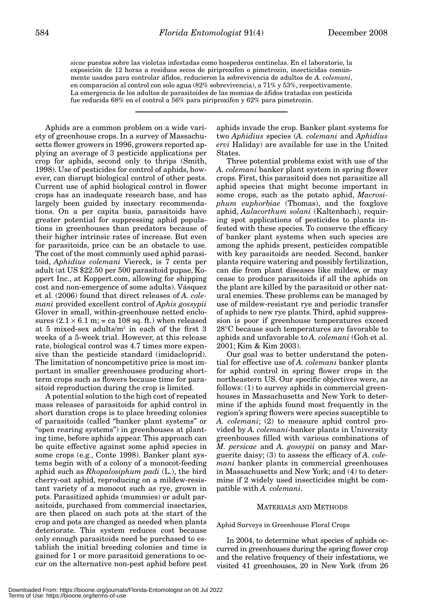*sicae* puestos sobre las violetas infestadas como hospederos centinelas. En el laboratorio, la exposición de 12 horas a residuos secos de piriproxifen o pimetrozin, insecticidas comúnmente usados para controlar áfidos, reducieron la sobrevivencia de adultos de *A. colemani*, en comparación al control con solo agua (82% sobrevivencia), a 71% y 53%, respectivamente. La emergencia de los adultos de parasitoides de las momias de áfidos tratadas con pesticida fue reducida 68% en el control a 56% para piriproxifen y 62% para pimetrozin.

Aphids are a common problem on a wide variety of greenhouse crops. In a survey of Massachusetts flower growers in 1996, growers reported applying an average of 3 pesticide applications per crop for aphids, second only to thrips (Smith, 1998). Use of pesticides for control of aphids, however, can disrupt biological control of other pests. Current use of aphid biological control in flower crops has an inadequate research base, and has largely been guided by insectary recommendations. On a per capita basis, parasitoids have greater potential for suppressing aphid populations in greenhouses than predators because of their higher intrinsic rates of increase. But even for parasitoids, price can be an obstacle to use. The cost of the most commonly used aphid parasitoid, *Aphidius colemani* Viereck, is 7 cents per adult (at US \$22.50 per 500 parasitoid pupae, Koppert Inc., at Koppert.com, allowing for shipping cost and non-emergence of some adults). Vásquez et al. (2006) found that direct releases of *A. colemani* provided excellent control of *Aphis gossypii* Glover in small, within-greenhouse netted enclosures  $(2.1 \times 6.1 \text{ m}) =$  ca 108 sq. ft.) when released at 5 mixed-sex adults/ $m^2$  in each of the first 3 weeks of a 5-week trial. However, at this release rate, biological control was 4.7 times more expensive than the pesticide standard (imidacloprid). The limitation of noncompetitive price is most important in smaller greenhouses producing shortterm crops such as flowers because time for parasitoid reproduction during the crop is limited.

A potential solution to the high cost of repeated mass releases of parasitoids for aphid control in short duration crops is to place breeding colonies of parasitoids (called "banker plant systems" or "open rearing systems") in greenhouses at planting time, before aphids appear. This approach can be quite effective against some aphid species in some crops (e.g., Conte 1998). Banker plant systems begin with of a colony of a monocot-feeding aphid such as *Rhopalosiphum padi* (L.), the bird cherry-oat aphid, reproducing on a mildew-resistant variety of a monocot such as rye, grown in pots. Parasitized aphids (mummies) or adult parasitoids, purchased from commercial insectaries, are then placed on such pots at the start of the crop and pots are changed as needed when plants deteriorate. This system reduces cost because only enough parasitoids need be purchased to establish the initial breeding colonies and time is gained for 1 or more parasitoid generations to occur on the alternative non-pest aphid before pest

aphids invade the crop. Banker plant systems for two *Aphidius* species (*A. colemani* and *Aphidius ervi* Haliday) are available for use in the United States.

Three potential problems exist with use of the *A. colemani* banker plant system in spring flower crops. First, this parasitoid does not parasitize all aphid species that might become important in some crops, such as the potato aphid, *Macrosiphum euphorbiae* (Thomas), and the foxglove aphid, *Aulacorthum solani* (Kaltenbach), requiring spot applications of pesticides to plants infested with these species. To conserve the efficacy of banker plant systems when such species are among the aphids present, pesticides compatible with key parasitoids are needed. Second, banker plants require watering and possibly fertilization, can die from plant diseases like mildew, or may cease to produce parasitoids if all the aphids on the plant are killed by the parasitoid or other natural enemies. These problems can be managed by use of mildew-resistant rye and periodic transfer of aphids to new rye plants. Third, aphid suppression is poor if greenhouse temperatures exceed 28°C because such temperatures are favorable to aphids and unfavorable to *A. colemani* (Goh et al. 2001; Kim & Kim 2003).

Our goal was to better understand the potential for effective use of *A. colemani* banker plants for aphid control in spring flower crops in the northeastern US. Our specific objectives were, as follows: (1) to survey aphids in commercial greenhouses in Massachusetts and New York to determine if the aphids found most frequently in the region's spring flowers were species susceptible to *A. colemani*; (2) to measure aphid control provided by *A. colemani*-banker plants in University greenhouses filled with various combinations of *M. persicae* and *A. gossypii* on pansy and Marguerite daisy; (3) to assess the efficacy of *A. colemani* banker plants in commercial greenhouses in Massachusetts and New York; and (4) to determine if 2 widely used insecticides might be compatible with *A. colemani*.

# MATERIALS AND METHODS

Aphid Surveys in Greenhouse Floral Crops

In 2004, to determine what species of aphids occurred in greenhouses during the spring flower crop and the relative frequency of their infestations, we visited 41 greenhouses, 20 in New York (from 26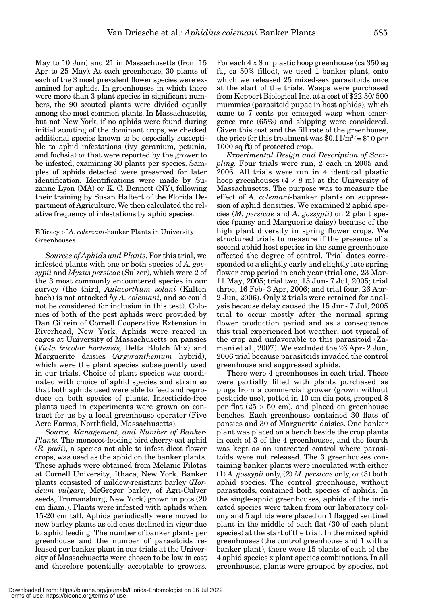May to 10 Jun) and 21 in Massachusetts (from 15 Apr to 25 May). At each greenhouse, 30 plants of each of the 3 most prevalent flower species were examined for aphids. In greenhouses in which there were more than 3 plant species in significant numbers, the 90 scouted plants were divided equally among the most common plants. In Massachusetts, but not New York, if no aphids were found during initial scouting of the dominant crops, we checked additional species known to be especially susceptible to aphid infestations (ivy geranium, petunia, and fuchsia) or that were reported by the grower to be infested, examining 30 plants per species. Samples of aphids detected were preserved for later identification. Identifications were made by Suzanne Lyon (MA) or K. C. Bennett (NY), following their training by Susan Halbert of the Florida Department of Agriculture. We then calculated the rel-

# Efficacy of *A. colemani*-banker Plants in University **Greenhouses**

ative frequency of infestations by aphid species.

*Sources of Aphids and Plants*. For this trial, we infested plants with one or both species of *A. gossypii* and *Myzus persicae* (Sulzer), which were 2 of the 3 most commonly encountered species in our survey (the third, *Aulacorthum solani* (Kalten bach) is not attacked *by A. colemani*, and so could not be considered for inclusion in this test). Colonies of both of the pest aphids were provided by Dan Gilrein of Cornell Cooperative Extension in Riverhead, New York. Aphids were reared in cages at University of Massachusetts on pansies (*Viola tricolor hortensis,* Delta Blotch Mix) and Marguerite daisies (*Argyranthemum* hybrid), which were the plant species subsequently used in our trials. Choice of plant species was coordinated with choice of aphid species and strain so that both aphids used were able to feed and reproduce on both species of plants. Insecticide-free plants used in experiments were grown on contract for us by a local greenhouse operator (Five Acre Farms, Northfield, Massachusetts).

*Source, Management, and Number of Banker-Plants.* The monocot-feeding bird cherry-oat aphid (*R. padi*), a species not able to infest dicot flower crops, was used as the aphid on the banker plants. These aphids were obtained from Melanie Filotas at Cornell University, Ithaca, New York. Banker plants consisted of mildew-resistant barley (*Hordeum vulgare,* McGregor barley, of Agri-Culver seeds, Trumansburg, New York) grown in pots (20 cm diam.). Plants were infested with aphids when 15-20 cm tall. Aphids periodically were moved to new barley plants as old ones declined in vigor due to aphid feeding. The number of banker plants per greenhouse and the number of parasitoids released per banker plant in our trials at the University of Massachusetts were chosen to be low in cost and therefore potentially acceptable to growers.

For each 4 x 8 m plastic hoop greenhouse (ca 350 sq ft., ca 50% filled), we used 1 banker plant, onto which we released 25 mixed-sex parasitoids once at the start of the trials. Wasps were purchased from Koppert Biological Inc. at a cost of \$22.50/ 500 mummies (parasitoid pupae in host aphids), which came to 7 cents per emerged wasp when emergence rate (65%) and shipping were considered. Given this cost and the fill rate of the greenhouse, the price for this treatment was  $$0.11/m^2 (= $10$  per 1000 sq ft) of protected crop.

*Experimental Design and Description of Sampling.* Four trials were run, 2 each in 2005 and 2006. All trials were run in 4 identical plastic hoop greenhouses  $(4 \times 8 \text{ m})$  at the University of Massachusetts. The purpose was to measure the effect of *A. colemani*-banker plants on suppression of aphid densities. We examined 2 aphid species (*M. persicae* and *A. gossypii*) on 2 plant species (pansy and Marguerite daisy) because of the high plant diversity in spring flower crops. We structured trials to measure if the presence of a second aphid host species in the same greenhouse affected the degree of control. Trial dates corresponded to a slightly early and slightly late spring flower crop period in each year (trial one, 23 Mar-11 May, 2005; trial two, 15 Jun- 7 Jul, 2005; trial three, 16 Feb- 3 Apr, 2006; and trial four, 26 Apr-2 Jun, 2006). Only 2 trials were retained for analysis because delay caused the 15 Jun- 7 Jul, 2005 trial to occur mostly after the normal spring flower production period and as a consequence this trial experienced hot weather, not typical of the crop and unfavorable to this parasitoid (Zamani et al., 2007). We excluded the 26 Apr- 2 Jun, 2006 trial because parasitoids invaded the control greenhouse and suppressed aphids.

There were 4 greenhouses in each trial. These were partially filled with plants purchased as plugs from a commercial grower (grown without pesticide use), potted in 10 cm dia pots, grouped 8 per flat  $(25 \times 50 \text{ cm})$ , and placed on greenhouse benches. Each greenhouse contained 30 flats of pansies and 30 of Marguerite daisies. One banker plant was placed on a bench beside the crop plants in each of 3 of the 4 greenhouses, and the fourth was kept as an untreated control where parasitoids were not released. The 3 greenhouses containing banker plants were inoculated with either (1) *A. gossypii* only, (2) *M. persicae* only, or (3) both aphid species. The control greenhouse, without parasitoids, contained both species of aphids. In the single-aphid greenhouses, aphids of the indicated species were taken from our laboratory colony and 5 aphids were placed on 1 flagged sentinel plant in the middle of each flat (30 of each plant species) at the start of the trial. In the mixed aphid greenhouses (the control greenhouse and 1 with a banker plant), there were 15 plants of each of the 4 aphid species x plant species combinations. In all greenhouses, plants were grouped by species, not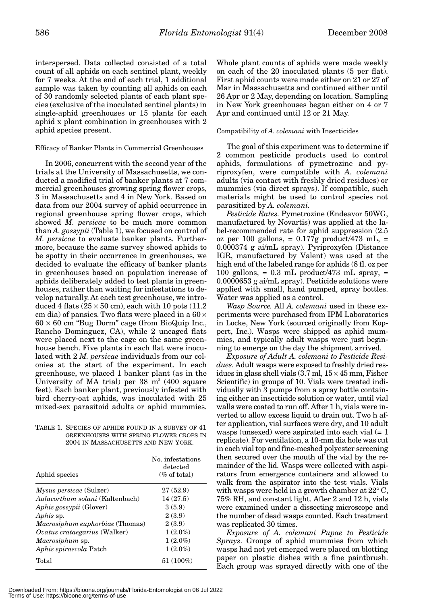interspersed. Data collected consisted of a total count of all aphids on each sentinel plant, weekly for 7 weeks. At the end of each trial, 1 additional sample was taken by counting all aphids on each of 30 randomly selected plants of each plant species (exclusive of the inoculated sentinel plants) in single-aphid greenhouses or 15 plants for each aphid x plant combination in greenhouses with 2 aphid species present.

### Efficacy of Banker Plants in Commercial Greenhouses

In 2006, concurrent with the second year of the trials at the University of Massachusetts, we conducted a modified trial of banker plants at 7 commercial greenhouses growing spring flower crops, 3 in Massachusetts and 4 in New York. Based on data from our 2004 survey of aphid occurrence in regional greenhouse spring flower crops, which showed *M. persicae* to be much more common than *A. gossypii* (Table 1), we focused on control of *M. persicae* to evaluate banker plants. Furthermore, because the same survey showed aphids to be spotty in their occurrence in greenhouses, we decided to evaluate the efficacy of banker plants in greenhouses based on population increase of aphids deliberately added to test plants in greenhouses, rather than waiting for infestations to develop naturally. At each test greenhouse, we introduced 4 flats  $(25 \times 50 \text{ cm})$ , each with 10 pots  $(11.2)$ cm dia) of pansies. Two flats were placed in a  $60 \times$  $60 \times 60$  cm "Bug Dorm" cage (from BioQuip Inc., Rancho Dominguez, CA), while 2 uncaged flats were placed next to the cage on the same greenhouse bench. Five plants in each flat were inoculated with 2 *M. persicae* individuals from our colonies at the start of the experiment. In each greenhouse, we placed 1 banker plant (as in the University of MA trial) per  $38 \text{ m}^2$  (400 square feet). Each banker plant, previously infested with bird cherry-oat aphids, was inoculated with 25 mixed-sex parasitoid adults or aphid mummies.

TABLE 1. SPECIES OF APHIDS FOUND IN A SURVEY OF 41 GREENHOUSES WITH SPRING FLOWER CROPS IN 2004 IN MASSACHUSETTS AND NEW YORK.

| Aphid species                       | No. infestations<br>detected<br>$(\%$ of total) |  |
|-------------------------------------|-------------------------------------------------|--|
| <i>Mysus persicae</i> (Sulzer)      | 27(52.9)                                        |  |
| Aulacorthum solani (Kaltenbach)     | 14(27.5)                                        |  |
| <i>Aphis gossypii</i> (Glover)      | 3(5.9)                                          |  |
| Aphis sp.                           | 2(3.9)                                          |  |
| Macrosiphum euphorbiae (Thomas)     | 2(3.9)                                          |  |
| <i>Ovatus crataegarius</i> (Walker) | $1(2.0\%)$                                      |  |
| Macrosiphum sp.                     | $1(2.0\%)$                                      |  |
| Aphis spiraecola Patch              | $1(2.0\%)$                                      |  |
| Total                               | $51(100\%)$                                     |  |

Whole plant counts of aphids were made weekly on each of the 20 inoculated plants (5 per flat). First aphid counts were made either on 21 or 27 of Mar in Massachusetts and continued either until 26 Apr or 2 May, depending on location. Sampling in New York greenhouses began either on 4 or 7 Apr and continued until 12 or 21 May.

## Compatibility of *A. colemani* with Insecticides

The goal of this experiment was to determine if 2 common pesticide products used to control aphids, formulations of pymetrozine and pyriproxyfen, were compatible with *A. colemani* adults (via contact with freshly dried residues) or mummies (via direct sprays). If compatible, such materials might be used to control species not parasitized by *A. colemani.*

*Pesticide Rates*. Pymetrozine (Endeavor 50WG, manufactured by Novartis) was applied at the label-recommended rate for aphid suppression (2.5 oz per 100 gallons,  $= 0.177$ g product/473 mL,  $=$ 0.000374 g ai/mL spray). Pyriproxyfen (Distance IGR, manufactured by Valent) was used at the high end of the labeled range for aphids (8 fl. oz per 100 gallons,  $= 0.3$  mL product/473 mL spray,  $=$ 0.0000653 g ai/mL spray). Pesticide solutions were applied with small, hand pumped, spray bottles. Water was applied as a control.

*Wasp Source.* All *A. colemani* used in these experiments were purchased from IPM Laboratories in Locke, New York (sourced originally from Koppert, Inc.). Wasps were shipped as aphid mummies, and typically adult wasps were just beginning to emerge on the day the shipment arrived.

*Exposure of Adult A. colemani to Pesticide Residues*. Adult wasps were exposed to freshly dried residues in glass shell vials  $(3.7 \text{ ml}, 15 \times 45 \text{ mm}, \text{Fisher})$ Scientific) in groups of 10. Vials were treated individually with 3 pumps from a spray bottle containing either an insecticide solution or water, until vial walls were coated to run off. After 1 h, vials were inverted to allow excess liquid to drain out. Two h after application, vial surfaces were dry, and 10 adult wasps (unsexed) were aspirated into each vial  $(= 1)$ replicate). For ventilation, a 10-mm dia hole was cut in each vial top and fine-meshed polyester screening then secured over the mouth of the vial by the remainder of the lid. Wasps were collected with aspirators from emergence containers and allowed to walk from the aspirator into the test vials. Vials with wasps were held in a growth chamber at 22° C, 75% RH, and constant light. After 2 and 12 h, vials were examined under a dissecting microscope and the number of dead wasps counted. Each treatment was replicated 30 times.

*Exposure of A. colemani Pupae to Pesticide Sprays*. Groups of aphid mummies from which wasps had not yet emerged were placed on blotting paper on plastic dishes with a fine paintbrush. Each group was sprayed directly with one of the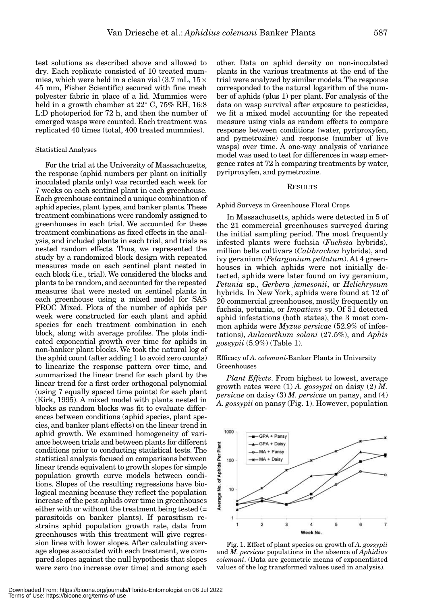test solutions as described above and allowed to dry. Each replicate consisted of 10 treated mummies, which were held in a clean vial  $(3.7 \text{ mL}, 15 \times$ 45 mm, Fisher Scientific) secured with fine mesh polyester fabric in place of a lid. Mummies were held in a growth chamber at 22° C, 75% RH, 16:8 L:D photoperiod for 72 h, and then the number of emerged wasps were counted. Each treatment was replicated 40 times (total, 400 treated mummies).

#### Statistical Analyses

For the trial at the University of Massachusetts, the response (aphid numbers per plant on initially inoculated plants only) was recorded each week for 7 weeks on each sentinel plant in each greenhouse. Each greenhouse contained a unique combination of aphid species, plant types, and banker plants. These treatment combinations were randomly assigned to greenhouses in each trial. We accounted for these treatment combinations as fixed effects in the analysis, and included plants in each trial, and trials as nested random effects. Thus, we represented the study by a randomized block design with repeated measures made on each sentinel plant nested in each block (i.e., trial). We considered the blocks and plants to be random, and accounted for the repeated measures that were nested on sentinel plants in each greenhouse using a mixed model for SAS PROC Mixed. Plots of the number of aphids per week were constructed for each plant and aphid species for each treatment combination in each block, along with average profiles. The plots indicated exponential growth over time for aphids in non-banker plant blocks. We took the natural log of the aphid count (after adding 1 to avoid zero counts) to linearize the response pattern over time, and summarized the linear trend for each plant by the linear trend for a first order orthogonal polynomial (using 7 equally spaced time points) for each plant (Kirk, 1995). A mixed model with plants nested in blocks as random blocks was fit to evaluate differences between conditions (aphid species, plant species, and banker plant effects) on the linear trend in aphid growth. We examined homogeneity of variance between trials and between plants for different conditions prior to conducting statistical tests. The statistical analysis focused on comparisons between linear trends equivalent to growth slopes for simple population growth curve models between conditions. Slopes of the resulting regressions have biological meaning because they reflect the population increase of the pest aphids over time in greenhouses either with or without the treatment being tested (= parasitoids on banker plants). If parasitism restrains aphid population growth rate, data from greenhouses with this treatment will give regression lines with lower slopes. After calculating average slopes associated with each treatment, we compared slopes against the null hypothesis that slopes were zero (no increase over time) and among each

other. Data on aphid density on non-inoculated plants in the various treatments at the end of the trial were analyzed by similar models. The response corresponded to the natural logarithm of the number of aphids (plus 1) per plant. For analysis of the data on wasp survival after exposure to pesticides, we fit a mixed model accounting for the repeated measure using vials as random effects to compare response between conditions (water, pyriproxyfen, and pymetrozine) and response (number of live wasps) over time. A one-way analysis of variance model was used to test for differences in wasp emergence rates at 72 h comparing treatments by water, pyriproxyfen, and pymetrozine.

#### RESULTS

Aphid Surveys in Greenhouse Floral Crops

In Massachusetts, aphids were detected in 5 of the 21 commercial greenhouses surveyed during the initial sampling period. The most frequently infested plants were fuchsia (*Fuchsia* hybrids), million bells cultivars (*Calibrachoa* hybrids), and ivy geranium (*Pelargonium peltatum*). At 4 greenhouses in which aphids were not initially detected, aphids were later found on ivy geranium, *Petunia* sp., *Gerbera jamesonii*, or *Helichrysum* hybrids. In New York, aphids were found at 12 of 20 commercial greenhouses, mostly frequently on fuchsia, petunia, or *Impatiens* sp. Of 51 detected aphid infestations (both states), the 3 most common aphids were *Myzus persicae* (52.9% of infestations), *Aulacorthum solani* (27.5%), and *Aphis gossypii* (5.9%) (Table 1).

# Efficacy of *A. colemani*-Banker Plants in University Greenhouses

*Plant Effects*. From highest to lowest, average growth rates were (1) *A. gossypii* on daisy (2) *M. persicae* on daisy (3) *M. persicae* on pansy, and (4) *A. gossypii* on pansy (Fig. 1). However, population



Fig. 1. Effect of plant species on growth of *A. gossypii* and *M. persicae* populations in the absence of *Aphidius colemani*. (Data are geometric means of exponentiated values of the log transformed values used in analysis).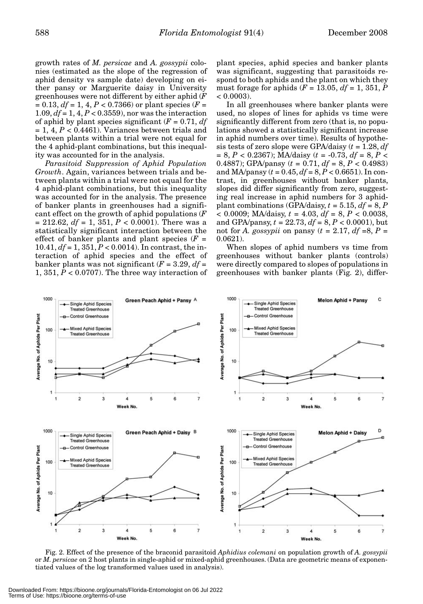growth rates of *M. persicae* and *A. gossypii* colonies (estimated as the slope of the regression of aphid density vs sample date) developing on either pansy or Marguerite daisy in University greenhouses were not different by either aphid (*F*  $= 0.13, df = 1, 4, P < 0.7366$  or plant species (*F* = 1.09, *df* = 1, 4, *P* < 0.3559), nor was the interaction of aphid by plant species significant  $(F = 0.71, df)$  $= 1, 4, P < 0.4461$ . Variances between trials and between plants within a trial were not equal for the 4 aphid-plant combinations, but this inequality was accounted for in the analysis.

*Parasitoid Suppression of Aphid Population Growth*. Again, variances between trials and between plants within a trial were not equal for the 4 aphid-plant combinations, but this inequality was accounted for in the analysis. The presence of banker plants in greenhouses had a significant effect on the growth of aphid populations (*F*  $= 212.62, df = 1, 351, P < 0.0001$ ). There was a statistically significant interaction between the effect of banker plants and plant species  $(F =$ 10.41, *df* = 1, 351, *P* < 0.0014). In contrast, the interaction of aphid species and the effect of banker plants was not significant  $(F = 3.29, df =$ 1, 351, *P* < 0.0707). The three way interaction of

plant species, aphid species and banker plants was significant, suggesting that parasitoids respond to both aphids and the plant on which they must forage for aphids  $(F = 13.05, df = 1, 351, P$  $< 0.0003$ ).

In all greenhouses where banker plants were used, no slopes of lines for aphids vs time were significantly different from zero (that is, no populations showed a statistically significant increase in aphid numbers over time). Results of hypothesis tests of zero slope were GPA/daisy (*t* = 1.28, *df* = 8, *P* < 0.2367); MA/daisy (*t* = -0.73, *df* = 8, *P* < 0.4887); GPA/pansy ( $t = 0.71$ ,  $df = 8$ ,  $P < 0.4983$ ) and MA/pansy (*t* = 0.45, *df* = 8, *P* < 0.6651). In contrast, in greenhouses without banker plants, slopes did differ significantly from zero, suggesting real increase in aphid numbers for 3 aphidplant combinations (GPA/daisy,  $t = 5.15$ ,  $df = 8$ , P < 0.0009; MA/daisy, *t* = 4.03, *df* = 8, *P* < 0.0038, and GPA/pansy, *t* = 22.73, *df* = 8, *P* < 0.0001), but not for *A. gossypii* on pansy  $(t = 2.17, df = 8, P =$ 0.0621).

When slopes of aphid numbers vs time from greenhouses without banker plants (controls) were directly compared to slopes of populations in greenhouses with banker plants (Fig. 2), differ-



Fig. 2. Effect of the presence of the braconid parasitoid *Aphidius colemani* on population growth of *A. gossypii* or *M. persicae* on 2 host plants in single-aphid or mixed-aphid greenhouses. (Data are geometric means of exponentiated values of the log transformed values used in analysis).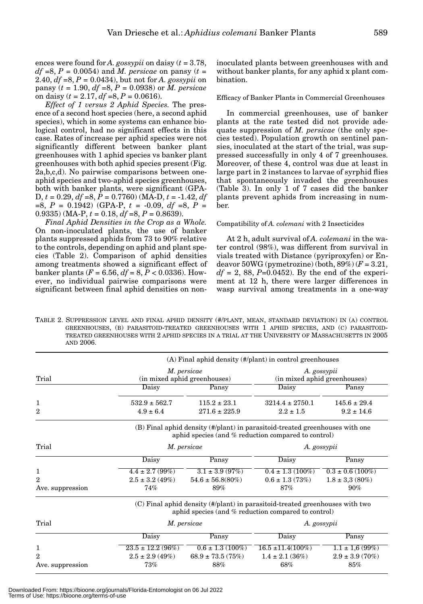ences were found for *A. gossypii* on daisy (*t* = 3.78,  $df = 8$ ,  $P = 0.0054$ ) and *M. persicae* on pansy (*t* = 2.40, *df* =8, *P* = 0.0434), but not for *A. gossypii* on pansy (*t* = 1.90, *df* =8, *P* = 0.0938) or *M. persicae* on daisy  $(t = 2.17, df = 8, P = 0.0616)$ .

*Effect of 1 versus 2 Aphid Species.* The presence of a second host species (here, a second aphid species), which in some systems can enhance biological control, had no significant effects in this case. Rates of increase per aphid species were not significantly different between banker plant greenhouses with 1 aphid species vs banker plant greenhouses with both aphid species present (Fig. 2a,b,c,d). No pairwise comparisons between oneaphid species and two-aphid species greenhouses, both with banker plants, were significant (GPA-D, *t* = 0.29, *df* =8, *P* = 0.7760) (MA-D, *t* = -1.42, *df* =8, *P* = 0.1942) (GPA-P, *t* = -0.09, *df* =8, *P* = 0.9335) (MA-P,  $t = 0.18$ ,  $df = 8$ ,  $P = 0.8639$ ).

*Final Aphid Densities in the Crop as a Whole.* On non-inoculated plants, the use of banker plants suppressed aphids from 73 to 90% relative to the controls, depending on aphid and plant species (Table 2). Comparison of aphid densities among treatments showed a significant effect of banker plants  $(F = 6.56, df = 8, P < 0.0336)$ . However, no individual pairwise comparisons were significant between final aphid densities on non-

inoculated plants between greenhouses with and without banker plants, for any aphid x plant combination.

#### Efficacy of Banker Plants in Commercial Greenhouses

In commercial greenhouses, use of banker plants at the rate tested did not provide adequate suppression of *M. persicae* (the only species tested). Population growth on sentinel pansies, inoculated at the start of the trial, was suppressed successfully in only 4 of 7 greenhouses. Moreover, of these 4, control was due at least in large part in 2 instances to larvae of syrphid flies that spontaneously invaded the greenhouses (Table 3). In only 1 of 7 cases did the banker plants prevent aphids from increasing in number.

#### Compatibility of *A. colemani* with 2 Insecticides

At 2 h, adult survival of *A. colemani* in the water control (98%), was different from survival in vials treated with Distance (pyriproxyfen) or Endeavor  $50WG$  (pymetrozine) (both,  $89\%$ ) ( $F = 3.21$ ,  $df = 2$ , 88,  $P=0.0452$ ). By the end of the experiment at 12 h, there were larger differences in wasp survival among treatments in a one-way

TABLE 2. SUPPRESSION LEVEL AND FINAL APHID DENSITY (#/PLANT, MEAN, STANDARD DEVIATION) IN (A) CONTROL GREENHOUSES, (B) PARASITOID-TREATED GREENHOUSES WITH 1 APHID SPECIES, AND (C) PARASITOID-TREATED GREENHOUSES WITH 2 APHID SPECIES IN A TRIAL AT THE UNIVERSITY OF MASSACHUSETTS IN 2005 AND 2006.

|                  | $(A)$ Final aphid density $(\#/\text{plant})$ in control greenhouses                                                                |                              |                              |                      |  |  |  |
|------------------|-------------------------------------------------------------------------------------------------------------------------------------|------------------------------|------------------------------|----------------------|--|--|--|
|                  | M. persicae                                                                                                                         |                              | A. gossypii                  |                      |  |  |  |
| Trial            |                                                                                                                                     | (in mixed aphid greenhouses) | (in mixed aphid greenhouses) |                      |  |  |  |
|                  | Daisy                                                                                                                               | Pansy                        | Daisy                        | Pansy                |  |  |  |
| 1                | $532.9 \pm 562.7$                                                                                                                   | $115.2 \pm 23.1$             | $3214.4 \pm 2750.1$          | $145.6 \pm 29.4$     |  |  |  |
| $\overline{2}$   | $4.9 \pm 6.4$                                                                                                                       | $271.6 \pm 225.9$            | $2.2 \pm 1.5$                | $9.2 \pm 14.6$       |  |  |  |
|                  | (B) Final aphid density (#/plant) in parasitoid-treated greenhouses with one<br>aphid species (and % reduction compared to control) |                              |                              |                      |  |  |  |
| Trial            | M. persicae                                                                                                                         |                              | A. gossypii                  |                      |  |  |  |
|                  | Daisy                                                                                                                               | Pansy                        | Daisy                        | Pansy                |  |  |  |
| 1                | $4.4 \pm 2.7 (99\%)$                                                                                                                | $3.1 \pm 3.9$ (97%)          | $0.4 \pm 1.3(100\%)$         | $0.3 \pm 0.6$ (100%) |  |  |  |
| $\mathbf{2}$     | $2.5 \pm 3.2$ (49%)                                                                                                                 | $54.6 \pm 56.8(80\%)$        | $0.6 \pm 1.3$ (73%)          | $1.8 \pm 3.3$ (80%)  |  |  |  |
| Ave. suppression | 74%                                                                                                                                 | 89%                          | 87%                          | 90%                  |  |  |  |
|                  | (C) Final aphid density (#/plant) in parasitoid-treated greenhouses with two<br>aphid species (and % reduction compared to control) |                              |                              |                      |  |  |  |
| Trial            | M. persicae                                                                                                                         |                              | A. gossypii                  |                      |  |  |  |
|                  | Daisy                                                                                                                               | Pansy                        | Daisy                        | Pansy                |  |  |  |
| 1                | $23.5 \pm 12.2$ (96%)                                                                                                               | $0.6 \pm 1.3(100\%)$         | $16.5 \pm 11.4(100\%)$       | $1.1 \pm 1.6 (99%)$  |  |  |  |
| $\mathbf{2}$     | $2.5 \pm 2.9$ (49%)                                                                                                                 | $68.9 \pm 73.5(75%)$         | $1.4 \pm 2.1$ (36%)          | $2.9 \pm 3.9$ (70%)  |  |  |  |
| Ave. suppression | 73%                                                                                                                                 | 88%                          | 68%                          | 85%                  |  |  |  |

Downloaded From: https://bioone.org/journals/Florida-Entomologist on 06 Jul 2022 Terms of Use: https://bioone.org/terms-of-use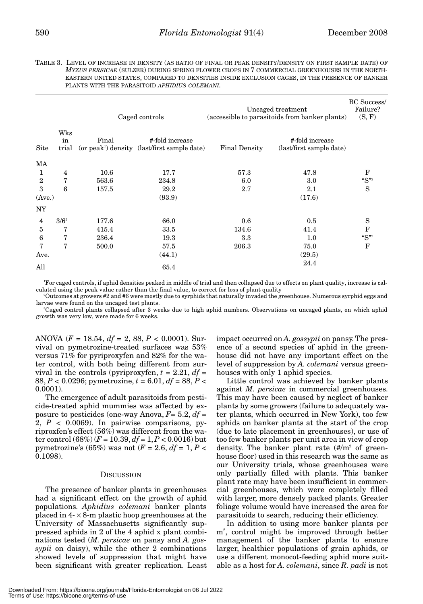TABLE 3. LEVEL OF INCREASE IN DENSITY (AS RATIO OF FINAL OR PEAK DENSITY/DENSITY ON FIRST SAMPLE DATE) OF *MYZUS PERSICAE* (SULZER) DURING SPRING FLOWER CROPS IN 7 COMMERCIAL GREENHOUSES IN THE NORTH-EASTERN UNITED STATES, COMPARED TO DENSITIES INSIDE EXCLUSION CAGES, IN THE PRESENCE OF BANKER PLANTS WITH THE PARASITOID *APHIDIUS COLEMANI.*

|                |                    | Caged controls |                                                                             | Uncaged treatment<br>(accessible to parasitoids from banker plants) |                                             | <b>BC</b> Success/<br>Failure?<br>(S, F) |
|----------------|--------------------|----------------|-----------------------------------------------------------------------------|---------------------------------------------------------------------|---------------------------------------------|------------------------------------------|
| <b>Site</b>    | Wks<br>in<br>trial | Final          | #-fold increase<br>(or peak <sup>1</sup> ) density (last/first sample date) | <b>Final Density</b>                                                | #-fold increase<br>(last/first sample date) |                                          |
| MA             |                    |                |                                                                             |                                                                     |                                             |                                          |
| 1              | $\overline{4}$     | 10.6           | 17.7                                                                        | 57.3                                                                | 47.8                                        | F                                        |
| $\overline{2}$ | 7                  | 563.6          | 234.8                                                                       | 6.0                                                                 | 3.0                                         | $\mathrm{``S''}^2$                       |
| 3              | 6                  | 157.5          | 29.2                                                                        | 2.7                                                                 | 2.1                                         | S                                        |
| (Ave.)         |                    |                | (93.9)                                                                      |                                                                     | (17.6)                                      |                                          |
| <b>NY</b>      |                    |                |                                                                             |                                                                     |                                             |                                          |
| 4              | $3/6^3$            | 177.6          | 66.0                                                                        | 0.6                                                                 | 0.5                                         | S                                        |
| $\overline{5}$ | 7                  | 415.4          | 33.5                                                                        | 134.6                                                               | 41.4                                        | F                                        |
| 6              | 7                  | 236.4          | 19.3                                                                        | 3.3                                                                 | 1.0                                         | $\mathrm{``S''}^2$                       |
| 7              | 7                  | 500.0          | 57.5                                                                        | 206.3                                                               | 75.0                                        | F                                        |
| Ave.           |                    |                | (44.1)                                                                      |                                                                     | (29.5)                                      |                                          |
| All            |                    |                | 65.4                                                                        |                                                                     | 24.4                                        |                                          |

1 For caged controls, if aphid densities peaked in middle of trial and then collapsed due to effects on plant quality, increase is calculated using the peak value rather than the final value, to correct for loss of plant quality

2 Outcomes at growers #2 and #6 were mostly due to syrphids that naturally invaded the greenhouse. Numerous syrphid eggs and larvae were found on the uncaged test plants.

3 Caged control plants collapsed after 3 weeks due to high aphid numbers. Observations on uncaged plants, on which aphid growth was very low, were made for 6 weeks.

ANOVA (*F* = 18.54, *df* = 2, 88, *P* < 0.0001). Survival on pymetrozine-treated surfaces was 53% versus 71% for pyriproxyfen and 82% for the water control, with both being different from survival in the controls (pyriproxyfen,  $t = 2.21$ ,  $df =$ 88, *P* < 0.0296; pymetrozine, *t* = 6.01, *df* = 88, *P* < 0.0001).

The emergence of adult parasitoids from pesticide-treated aphid mummies was affected by exposure to pesticides (one-way Anova,  $F=5.2$ ,  $df=$ 2,  $P < 0.0069$ ). In pairwise comparisons, pyriproxfen's effect (56%) was different from the water control (68%) (*F* = 10.39, *df* = 1, *P* < 0.0016) but pymetrozine's (65%) was not  $(F = 2.6, df = 1, P <$ 0.1098).

#### **DISCUSSION**

The presence of banker plants in greenhouses had a significant effect on the growth of aphid populations. *Aphidius colemani* banker plants placed in  $4 - \times 8$ -m plastic hoop greenhouses at the University of Massachusetts significantly suppressed aphids in 2 of the 4 aphid x plant combinations tested (*M. persicae* on pansy and *A. gossypii* on daisy), while the other 2 combinations showed levels of suppression that might have been significant with greater replication. Least impact occurred on *A. gossypii* on pansy. The presence of a second species of aphid in the greenhouse did not have any important effect on the level of suppression by *A. colemani* versus greenhouses with only 1 aphid species.

Little control was achieved by banker plants against *M. persicae* in commercial greenhouses. This may have been caused by neglect of banker plants by some growers (failure to adequately water plants, which occurred in New York), too few aphids on banker plants at the start of the crop (due to late placement in greenhouses), or use of too few banker plants per unit area in view of crop density. The banker plant rate  $(\frac{\text{#}}{m^2})$  of greenhouse floor) used in this research was the same as our University trials, whose greenhouses were only partially filled with plants. This banker plant rate may have been insufficient in commercial greenhouses, which were completely filled with larger, more densely packed plants. Greater foliage volume would have increased the area for parasitoids to search, reducing their efficiency.

In addition to using more banker plants per m2 , control might be improved through better management of the banker plants to ensure larger, healthier populations of grain aphids, or use a different monocot-feeding aphid more suitable as a host for *A. colemani*, since *R. padi* is not